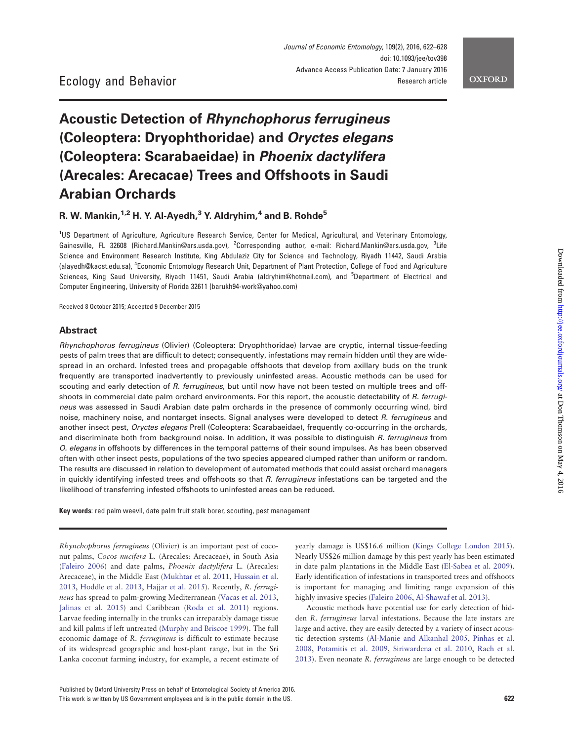# **OXFORD**

# Acoustic Detection of Rhynchophorus ferrugineus (Coleoptera: Dryophthoridae) and Oryctes elegans (Coleoptera: Scarabaeidae) in Phoenix dactylifera (Arecales: Arecacae) Trees and Offshoots in Saudi Arabian Orchards

R. W. Mankin,  $1,2$  H. Y. Al-Ayedh, <sup>3</sup> Y. Aldryhim, <sup>4</sup> and B. Rohde<sup>5</sup>

<sup>1</sup>US Department of Agriculture, Agriculture Research Service, Center for Medical, Agricultural, and Veterinary Entomology, Gainesville, FL 32608 (Richard.Mankin@ars.usda.gov), <sup>2</sup>Corresponding author, e-mail: Richard.Mankin@ars.usda.gov, <sup>3</sup>Life Science and Environment Research Institute, King Abdulaziz City for Science and Technology, Riyadh 11442, Saudi Arabia (alayedh@kacst.edu.sa), <sup>4</sup> Economic Entomology Research Unit, Department of Plant Protection, College of Food and Agriculture Sciences, King Saud University, Riyadh 11451, Saudi Arabia (aldryhim@hotmail.com), and <sup>5</sup>Department of Electrical and Computer Engineering, University of Florida 32611 (barukh94-work@yahoo.com)

Received 8 October 2015; Accepted 9 December 2015

## Abstract

Rhynchophorus ferrugineus (Olivier) (Coleoptera: Dryophthoridae) larvae are cryptic, internal tissue-feeding pests of palm trees that are difficult to detect; consequently, infestations may remain hidden until they are widespread in an orchard. Infested trees and propagable offshoots that develop from axillary buds on the trunk frequently are transported inadvertently to previously uninfested areas. Acoustic methods can be used for scouting and early detection of R. ferrugineus, but until now have not been tested on multiple trees and offshoots in commercial date palm orchard environments. For this report, the acoustic detectability of R. ferrugineus was assessed in Saudi Arabian date palm orchards in the presence of commonly occurring wind, bird noise, machinery noise, and nontarget insects. Signal analyses were developed to detect R. ferrugineus and another insect pest, Oryctes elegans Prell (Coleoptera: Scarabaeidae), frequently co-occurring in the orchards, and discriminate both from background noise. In addition, it was possible to distinguish R. ferrugineus from O. elegans in offshoots by differences in the temporal patterns of their sound impulses. As has been observed often with other insect pests, populations of the two species appeared clumped rather than uniform or random. The results are discussed in relation to development of automated methods that could assist orchard managers in quickly identifying infested trees and offshoots so that  $R$ . ferrugineus infestations can be targeted and the likelihood of transferring infested offshoots to uninfested areas can be reduced.

Key words: red palm weevil, date palm fruit stalk borer, scouting, pest management

Rhynchophorus ferrugineus (Olivier) is an important pest of coconut palms, Cocos nucifera L. (Arecales: Arecaceae), in South Asia ([Faleiro 2006](#page-5-0)) and date palms, Phoenix dactylifera L. (Arecales: Arecaceae), in the Middle East [\(Mukhtar et al. 2011,](#page-6-0) [Hussain et al.](#page-5-0) [2013,](#page-5-0) [Hoddle et al. 2013](#page-5-0), [Hajjar et al. 2015\)](#page-5-0). Recently, R. ferrugineus has spread to palm-growing Mediterranean [\(Vacas et al. 2013,](#page-6-0) [Jalinas et al. 2015\)](#page-6-0) and Caribbean ([Roda et al. 2011](#page-6-0)) regions. Larvae feeding internally in the trunks can irreparably damage tissue and kill palms if left untreated ([Murphy and Briscoe 1999\)](#page-6-0). The full economic damage of R. ferrugineus is difficult to estimate because of its widespread geographic and host-plant range, but in the Sri Lanka coconut farming industry, for example, a recent estimate of yearly damage is US\$16.6 million [\(Kings College London 2015](#page-6-0)). Nearly US\$26 million damage by this pest yearly has been estimated in date palm plantations in the Middle East ([El-Sabea et al. 2009](#page-5-0)). Early identification of infestations in transported trees and offshoots is important for managing and limiting range expansion of this highly invasive species [\(Faleiro 2006,](#page-5-0) [Al-Shawaf et al. 2013](#page-5-0)).

Acoustic methods have potential use for early detection of hidden R. ferrugineus larval infestations. Because the late instars are large and active, they are easily detected by a variety of insect acoustic detection systems [\(Al-Manie and Alkanhal 2005](#page-5-0), [Pinhas et al.](#page-6-0) [2008,](#page-6-0) [Potamitis et al. 2009,](#page-6-0) [Siriwardena et al. 2010,](#page-6-0) [Rach et al.](#page-6-0) [2013\)](#page-6-0). Even neonate R. ferrugineus are large enough to be detected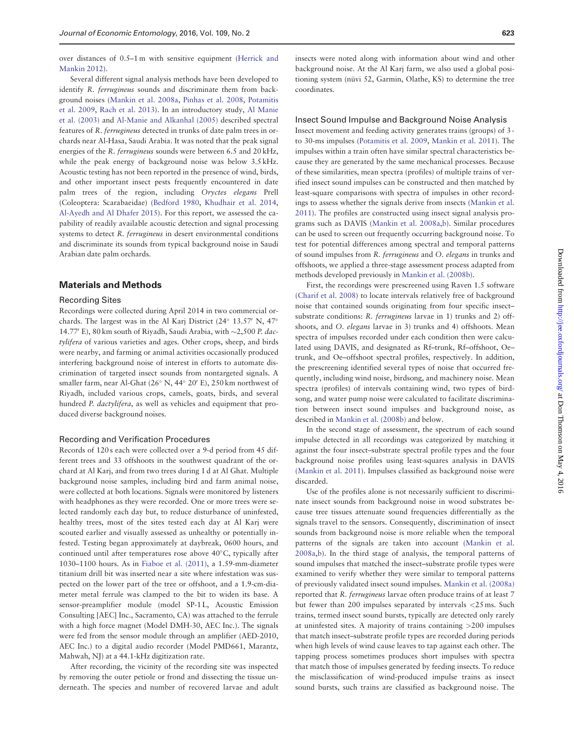over distances of 0.5–1 m with sensitive equipment ([Herrick and](#page-5-0) [Mankin 2012](#page-5-0)).

Several different signal analysis methods have been developed to identify R. ferrugineus sounds and discriminate them from background noises [\(Mankin et al. 2008a](#page-6-0), [Pinhas et al. 2008,](#page-6-0) [Potamitis](#page-6-0) [et al. 2009](#page-6-0), [Rach et al. 2013](#page-6-0)). In an introductory study, [Al Manie](#page-5-0) [et al. \(2003\)](#page-5-0) and [Al-Manie and Alkanhal \(2005\)](#page-5-0) described spectral features of R. ferrugineus detected in trunks of date palm trees in orchards near Al-Hasa, Saudi Arabia. It was noted that the peak signal energies of the R. ferrugineus sounds were between 6.5 and 20 kHz, while the peak energy of background noise was below 3.5 kHz. Acoustic testing has not been reported in the presence of wind, birds, and other important insect pests frequently encountered in date palm trees of the region, including Oryctes elegans Prell (Coleoptera: Scarabaeidae) ([Bedford 1980,](#page-5-0) [Khudhair et al. 2014,](#page-6-0) [Al-Ayedh and Al Dhafer 2015](#page-5-0)). For this report, we assessed the capability of readily available acoustic detection and signal processing systems to detect R. ferrugineus in desert environmental conditions and discriminate its sounds from typical background noise in Saudi Arabian date palm orchards.

#### Materials and Methods

#### Recording Sites

Recordings were collected during April 2014 in two commercial orchards. The largest was in the Al Karj District  $(24^{\circ} 13.57' N, 47^{\circ}$ 14.77' E), 80 km south of Riyadh, Saudi Arabia, with  $\sim$ 2,500 P. dactylifera of various varieties and ages. Other crops, sheep, and birds were nearby, and farming or animal activities occasionally produced interfering background noise of interest in efforts to automate discrimination of targeted insect sounds from nontargeted signals. A smaller farm, near Al-Ghat (26° N, 44° 20' E), 250 km northwest of Riyadh, included various crops, camels, goats, birds, and several hundred P. dactylifera, as well as vehicles and equipment that produced diverse background noises.

### Recording and Verification Procedures

Records of 120 s each were collected over a 9-d period from 45 different trees and 33 offshoots in the southwest quadrant of the orchard at Al Karj, and from two trees during 1 d at Al Ghat. Multiple background noise samples, including bird and farm animal noise, were collected at both locations. Signals were monitored by listeners with headphones as they were recorded. One or more trees were selected randomly each day but, to reduce disturbance of uninfested, healthy trees, most of the sites tested each day at Al Karj were scouted earlier and visually assessed as unhealthy or potentially infested. Testing began approximately at daybreak, 0600 hours, and continued until after temperatures rose above 40°C, typically after 1030–1100 hours. As in [Fiaboe et al. \(2011\),](#page-5-0) a 1.59-mm-diameter titanium drill bit was inserted near a site where infestation was suspected on the lower part of the tree or offshoot, and a 1.9-cm-diameter metal ferrule was clamped to the bit to widen its base. A sensor-preamplifier module (model SP-1L, Acoustic Emission Consulting [AEC] Inc., Sacramento, CA) was attached to the ferrule with a high force magnet (Model DMH-30, AEC Inc.). The signals were fed from the sensor module through an amplifier (AED-2010, AEC Inc.) to a digital audio recorder (Model PMD661, Marantz, Mahwah, NJ) at a 44.1-kHz digitization rate.

After recording, the vicinity of the recording site was inspected by removing the outer petiole or frond and dissecting the tissue underneath. The species and number of recovered larvae and adult

insects were noted along with information about wind and other background noise. At the Al Karj farm, we also used a global positioning system (nüvi 52, Garmin, Olathe, KS) to determine the tree coordinates.

#### Insect Sound Impulse and Background Noise Analysis

Insect movement and feeding activity generates trains (groups) of 3 to 30-ms impulses ([Potamitis et al. 2009,](#page-6-0) [Mankin et al. 2011](#page-6-0)). The impulses within a train often have similar spectral characteristics because they are generated by the same mechanical processes. Because of these similarities, mean spectra (profiles) of multiple trains of verified insect sound impulses can be constructed and then matched by least-square comparisons with spectra of impulses in other recordings to assess whether the signals derive from insects [\(Mankin et al.](#page-6-0) [2011\)](#page-6-0). The profiles are constructed using insect signal analysis programs such as DAVIS [\(Mankin et al. 2008a,b](#page-6-0)). Similar procedures can be used to screen out frequently occurring background noise. To test for potential differences among spectral and temporal patterns of sound impulses from R. ferrugineus and O. elegans in trunks and offshoots, we applied a three-stage assessment process adapted from methods developed previously in [Mankin et al. \(2008b\)](#page-6-0).

First, the recordings were prescreened using Raven 1.5 software ([Charif et al. 2008\)](#page-5-0) to locate intervals relatively free of background noise that contained sounds originating from four specific insect– substrate conditions: R. ferrugineus larvae in 1) trunks and 2) offshoots, and O. elegans larvae in 3) trunks and 4) offshoots. Mean spectra of impulses recorded under each condition then were calculated using DAVIS, and designated as Rf–trunk, Rf–offshoot, Oe– trunk, and Oe–offshoot spectral profiles, respectively. In addition, the prescreening identified several types of noise that occurred frequently, including wind noise, birdsong, and machinery noise. Mean spectra (profiles) of intervals containing wind, two types of birdsong, and water pump noise were calculated to facilitate discrimination between insect sound impulses and background noise, as described in [Mankin et al. \(2008b\)](#page-6-0) and below.

In the second stage of assessment, the spectrum of each sound impulse detected in all recordings was categorized by matching it against the four insect–substrate spectral profile types and the four background noise profiles using least-squares analysis in DAVIS ([Mankin et al. 2011](#page-6-0)). Impulses classified as background noise were discarded.

Use of the profiles alone is not necessarily sufficient to discriminate insect sounds from background noise in wood substrates because tree tissues attenuate sound frequencies differentially as the signals travel to the sensors. Consequently, discrimination of insect sounds from background noise is more reliable when the temporal patterns of the signals are taken into account ([Mankin et al.](#page-6-0) [2008a,b](#page-6-0)). In the third stage of analysis, the temporal patterns of sound impulses that matched the insect–substrate profile types were examined to verify whether they were similar to temporal patterns of previously validated insect sound impulses. [Mankin et al. \(2008a\)](#page-6-0) reported that R. ferrugineus larvae often produce trains of at least 7 but fewer than 200 impulses separated by intervals <25 ms. Such trains, termed insect sound bursts, typically are detected only rarely at uninfested sites. A majority of trains containing >200 impulses that match insect–substrate profile types are recorded during periods when high levels of wind cause leaves to tap against each other. The tapping process sometimes produces short impulses with spectra that match those of impulses generated by feeding insects. To reduce the misclassification of wind-produced impulse trains as insect sound bursts, such trains are classified as background noise. The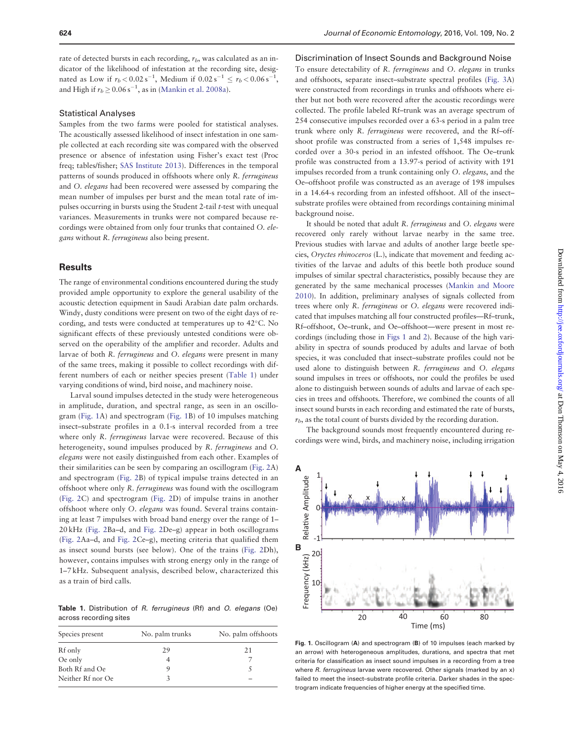<span id="page-2-0"></span>rate of detected bursts in each recording,  $r_b$ , was calculated as an indicator of the likelihood of infestation at the recording site, designated as Low if  $r_b < 0.02 s^{-1}$ , Medium if  $0.02 s^{-1} \le r_b < 0.06 s^{-1}$ , and High if  $r_b \geq 0.06 \text{ s}^{-1}$ , as in ([Mankin et al. 2008a](#page-6-0)).

#### Statistical Analyses

Samples from the two farms were pooled for statistical analyses. The acoustically assessed likelihood of insect infestation in one sample collected at each recording site was compared with the observed presence or absence of infestation using Fisher's exact test (Proc freq; tables/fisher; [SAS Institute 2013\)](#page-6-0). Differences in the temporal patterns of sounds produced in offshoots where only R. ferrugineus and O. elegans had been recovered were assessed by comparing the mean number of impulses per burst and the mean total rate of impulses occurring in bursts using the Student 2-tail  $t$ -test with unequal variances. Measurements in trunks were not compared because recordings were obtained from only four trunks that contained O. elegans without R. ferrugineus also being present.

## **Results**

The range of environmental conditions encountered during the study provided ample opportunity to explore the general usability of the acoustic detection equipment in Saudi Arabian date palm orchards. Windy, dusty conditions were present on two of the eight days of recording, and tests were conducted at temperatures up to 42°C. No significant effects of these previously untested conditions were observed on the operability of the amplifier and recorder. Adults and larvae of both R. ferrugineus and O. elegans were present in many of the same trees, making it possible to collect recordings with different numbers of each or neither species present (Table 1) under varying conditions of wind, bird noise, and machinery noise.

Larval sound impulses detected in the study were heterogeneous in amplitude, duration, and spectral range, as seen in an oscillogram (Fig. 1A) and spectrogram (Fig. 1B) of 10 impulses matching insect–substrate profiles in a 0.1-s interval recorded from a tree where only R. *ferrugineus* larvae were recovered. Because of this heterogeneity, sound impulses produced by R. ferrugineus and O. elegans were not easily distinguished from each other. Examples of their similarities can be seen by comparing an oscillogram ([Fig. 2A](#page-3-0)) and spectrogram ([Fig. 2](#page-3-0)B) of typical impulse trains detected in an offshoot where only R. ferrugineus was found with the oscillogram ([Fig. 2C](#page-3-0)) and spectrogram ([Fig. 2](#page-3-0)D) of impulse trains in another offshoot where only O. elegans was found. Several trains containing at least 7 impulses with broad band energy over the range of 1– 20 kHz ([Fig. 2B](#page-3-0)a–d, and [Fig. 2D](#page-3-0)e–g) appear in both oscillograms ([Fig. 2](#page-3-0)Aa–d, and [Fig. 2C](#page-3-0)e–g), meeting criteria that qualified them as insect sound bursts (see below). One of the trains [\(Fig. 2](#page-3-0)Dh), however, contains impulses with strong energy only in the range of 1–7 kHz. Subsequent analysis, described below, characterized this as a train of bird calls.

Table 1. Distribution of R. ferrugineus (Rf) and O. elegans (Oe) across recording sites

| Species present   | No. palm trunks | No. palm offshoots |  |  |
|-------------------|-----------------|--------------------|--|--|
| Rf only           | 29              | 21                 |  |  |
| Oe only           |                 |                    |  |  |
| Both Rf and Oe    |                 |                    |  |  |
| Neither Rf nor Oe |                 |                    |  |  |

Discrimination of Insect Sounds and Background Noise To ensure detectability of R. ferrugineus and O. elegans in trunks and offshoots, separate insect–substrate spectral profiles [\(Fig. 3A](#page-4-0)) were constructed from recordings in trunks and offshoots where either but not both were recovered after the acoustic recordings were collected. The profile labeled Rf–trunk was an average spectrum of 254 consecutive impulses recorded over a 63-s period in a palm tree trunk where only R. ferrugineus were recovered, and the Rf–offshoot profile was constructed from a series of 1,548 impulses recorded over a 30-s period in an infested offshoot. The Oe–trunk profile was constructed from a 13.97-s period of activity with 191 impulses recorded from a trunk containing only O. elegans, and the Oe–offshoot profile was constructed as an average of 198 impulses in a 14.64-s recording from an infested offshoot. All of the insect– substrate profiles were obtained from recordings containing minimal background noise.

It should be noted that adult R. ferrugineus and O. elegans were recovered only rarely without larvae nearby in the same tree. Previous studies with larvae and adults of another large beetle species, Oryctes rhinoceros (L.), indicate that movement and feeding activities of the larvae and adults of this beetle both produce sound impulses of similar spectral characteristics, possibly because they are generated by the same mechanical processes ([Mankin and Moore](#page-6-0) [2010\)](#page-6-0). In addition, preliminary analyses of signals collected from trees where only R. ferrugineus or O. elegans were recovered indicated that impulses matching all four constructed profiles—Rf–trunk, Rf–offshoot, Oe–trunk, and Oe–offshoot—were present in most recordings (including those in Figs 1 and [2](#page-3-0)). Because of the high variability in spectra of sounds produced by adults and larvae of both species, it was concluded that insect–substrate profiles could not be used alone to distinguish between R. ferrugineus and O. elegans sound impulses in trees or offshoots, nor could the profiles be used alone to distinguish between sounds of adults and larvae of each species in trees and offshoots. Therefore, we combined the counts of all insect sound bursts in each recording and estimated the rate of bursts,  $r_b$ , as the total count of bursts divided by the recording duration.

The background sounds most frequently encountered during recordings were wind, birds, and machinery noise, including irrigation



Fig. 1. Oscillogram (A) and spectrogram (B) of 10 impulses (each marked by an arrow) with heterogeneous amplitudes, durations, and spectra that met criteria for classification as insect sound impulses in a recording from a tree where R. ferrugineus larvae were recovered. Other signals (marked by an x) failed to meet the insect–substrate profile criteria. Darker shades in the spectrogram indicate frequencies of higher energy at the specified time.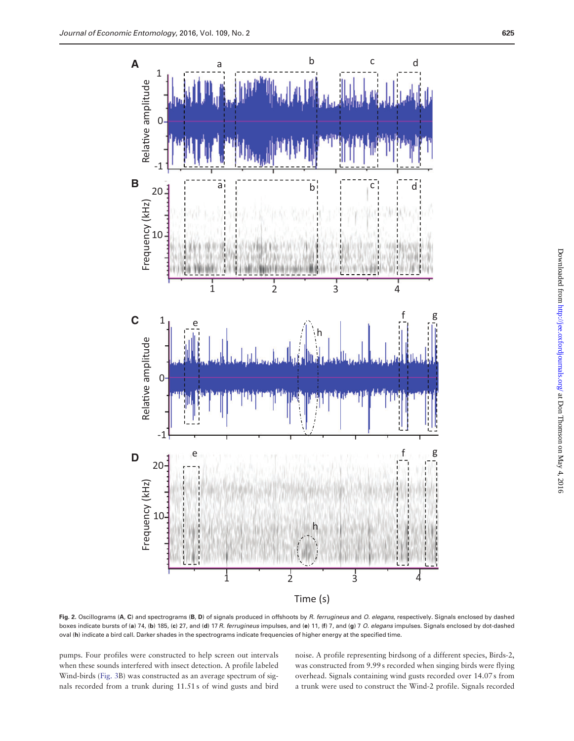<span id="page-3-0"></span>

Fig. 2. Oscillograms (A, C) and spectrograms (B, D) of signals produced in offshoots by R. ferrugineus and O. elegans, respectively. Signals enclosed by dashed boxes indicate bursts of (a) 74, (b) 185, (c) 27, and (d) 17 R. ferrugineus impulses, and (e) 11, (f) 7, and (g) 7 O. elegans impulses. Signals enclosed by dot-dashed oval (h) indicate a bird call. Darker shades in the spectrograms indicate frequencies of higher energy at the specified time.

pumps. Four profiles were constructed to help screen out intervals when these sounds interfered with insect detection. A profile labeled Wind-birds ([Fig. 3](#page-4-0)B) was constructed as an average spectrum of signals recorded from a trunk during 11.51 s of wind gusts and bird noise. A profile representing birdsong of a different species, Birds-2, was constructed from 9.99 s recorded when singing birds were flying overhead. Signals containing wind gusts recorded over 14.07 s from a trunk were used to construct the Wind-2 profile. Signals recorded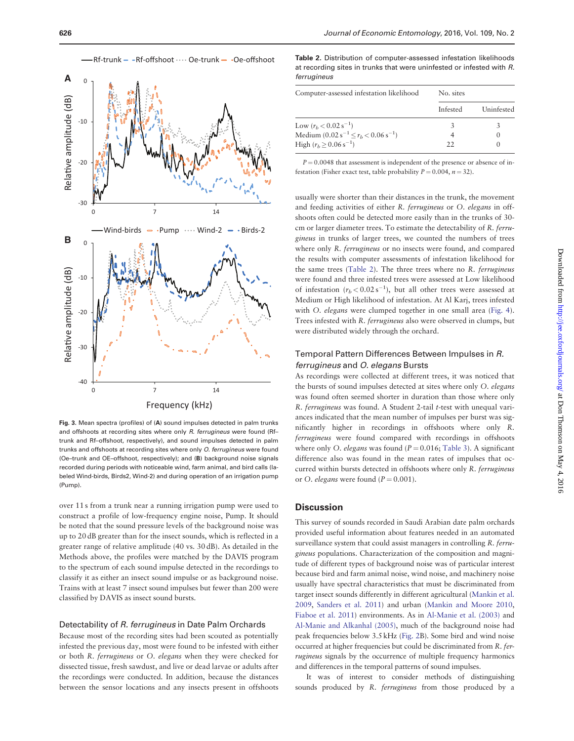<span id="page-4-0"></span>

Fig. 3. Mean spectra (profiles) of (A) sound impulses detected in palm trunks and offshoots at recording sites where only R. ferrugineus were found (Rftrunk and Rf–offshoot, respectively), and sound impulses detected in palm trunks and offshoots at recording sites where only O. ferrugineus were found (Oe–trunk and OE–offshoot, respectively); and (B) background noise signals recorded during periods with noticeable wind, farm animal, and bird calls (labeled Wind-birds, Birds2, Wind-2) and during operation of an irrigation pump (Pump).

over 11 s from a trunk near a running irrigation pump were used to construct a profile of low-frequency engine noise, Pump. It should be noted that the sound pressure levels of the background noise was up to 20 dB greater than for the insect sounds, which is reflected in a greater range of relative amplitude (40 vs. 30 dB). As detailed in the Methods above, the profiles were matched by the DAVIS program to the spectrum of each sound impulse detected in the recordings to classify it as either an insect sound impulse or as background noise. Trains with at least 7 insect sound impulses but fewer than 200 were classified by DAVIS as insect sound bursts.

#### Detectability of R. ferrugineus in Date Palm Orchards

Because most of the recording sites had been scouted as potentially infested the previous day, most were found to be infested with either or both R. ferrugineus or O. elegans when they were checked for dissected tissue, fresh sawdust, and live or dead larvae or adults after the recordings were conducted. In addition, because the distances between the sensor locations and any insects present in offshoots

Table 2. Distribution of computer-assessed infestation likelihoods at recording sites in trunks that were uninfested or infested with R. ferrugineus

| Computer-assessed infestation likelihood     | No. sites |            |  |  |
|----------------------------------------------|-----------|------------|--|--|
|                                              | Infested  | Uninfested |  |  |
| Low $(r_h < 0.02 s^{-1})$                    |           |            |  |  |
| Medium $(0.02 s^{-1} \le r_b < 0.06 s^{-1})$ |           |            |  |  |
| High $(r_b > 0.06 \text{ s}^{-1})$           | 22        |            |  |  |

 $P = 0.0048$  that assessment is independent of the presence or absence of infestation (Fisher exact test, table probability  $P = 0.004$ ,  $n = 32$ ).

usually were shorter than their distances in the trunk, the movement and feeding activities of either R. ferrugineus or O. elegans in offshoots often could be detected more easily than in the trunks of 30 cm or larger diameter trees. To estimate the detectability of R. ferrugineus in trunks of larger trees, we counted the numbers of trees where only R. *ferrugineus* or no insects were found, and compared the results with computer assessments of infestation likelihood for the same trees (Table 2). The three trees where no R. ferrugineus were found and three infested trees were assessed at Low likelihood of infestation  $(r_b < 0.02 \text{ s}^{-1})$ , but all other trees were assessed at Medium or High likelihood of infestation. At Al Karj, trees infested with O. elegans were clumped together in one small area ([Fig. 4](#page-5-0)). Trees infested with R. ferrugineus also were observed in clumps, but were distributed widely through the orchard.

# Temporal Pattern Differences Between Impulses in R. ferrugineus and O. elegans Bursts

As recordings were collected at different trees, it was noticed that the bursts of sound impulses detected at sites where only O. elegans was found often seemed shorter in duration than those where only R. ferrugineus was found. A Student 2-tail t-test with unequal variances indicated that the mean number of impulses per burst was significantly higher in recordings in offshoots where only R. ferrugineus were found compared with recordings in offshoots where only O. elegans was found ( $P = 0.016$ ; [Table 3\)](#page-5-0). A significant difference also was found in the mean rates of impulses that occurred within bursts detected in offshoots where only R. ferrugineus or O. elegans were found  $(P = 0.001)$ .

#### **Discussion**

This survey of sounds recorded in Saudi Arabian date palm orchards provided useful information about features needed in an automated surveillance system that could assist managers in controlling R. ferrugineus populations. Characterization of the composition and magnitude of different types of background noise was of particular interest because bird and farm animal noise, wind noise, and machinery noise usually have spectral characteristics that must be discriminated from target insect sounds differently in different agricultural [\(Mankin et al.](#page-6-0) [2009,](#page-6-0) [Sanders et al. 2011](#page-6-0)) and urban ([Mankin and Moore 2010,](#page-6-0) [Fiaboe et al. 2011](#page-5-0)) environments. As in [Al-Manie et al. \(2003\)](#page-5-0) and [Al-Manie and Alkanhal \(2005\)](#page-5-0), much of the background noise had peak frequencies below 3.5 kHz ([Fig. 2](#page-3-0)B). Some bird and wind noise occurred at higher frequencies but could be discriminated from R. ferrugineus signals by the occurrence of multiple frequency harmonics and differences in the temporal patterns of sound impulses.

It was of interest to consider methods of distinguishing sounds produced by R. ferrugineus from those produced by a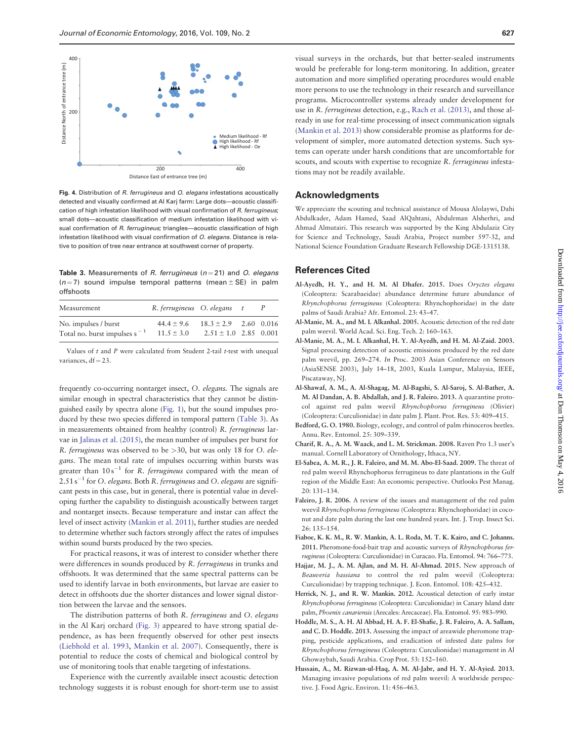<span id="page-5-0"></span>

Fig. 4. Distribution of R. ferrugineus and O. elegans infestations acoustically detected and visually confirmed at Al Karj farm: Large dots—acoustic classification of high infestation likelihood with visual confirmation of R. ferrugineus: small dots—acoustic classification of medium infestation likelihood with visual confirmation of R. ferrugineus; triangles—acoustic classification of high infestation likelihood with visual confirmation of O. elegans. Distance is relative to position of tree near entrance at southwest corner of property.

Table 3. Measurements of R. ferrugineus ( $n = 21$ ) and O. elegans  $(n = 7)$  sound impulse temporal patterns (mean  $\pm$  SE) in palm offshoots

| Measurement                                               | R. ferrugineus O. elegans        |                                                        | $\tau$ |  |
|-----------------------------------------------------------|----------------------------------|--------------------------------------------------------|--------|--|
| No. impulses / burst<br>Total no. burst impulses $s^{-1}$ | $44.4 \pm 9.6$<br>$11.5 \pm 3.0$ | $18.3 \pm 2.9$ 2.60 0.016<br>$2.51 \pm 1.0$ 2.85 0.001 |        |  |

Values of  $t$  and  $P$  were calculated from Student 2-tail  $t$ -test with unequal variances,  $df = 23$ .

frequently co-occurring nontarget insect, O. elegans. The signals are similar enough in spectral characteristics that they cannot be distinguished easily by spectra alone ([Fig. 1](#page-2-0)), but the sound impulses produced by these two species differed in temporal pattern (Table 3). As in measurements obtained from healthy (control) R. ferrugineus larvae in [Jalinas et al. \(2015\)](#page-6-0), the mean number of impulses per burst for R. ferrugineus was observed to be >30, but was only 18 for O. elegans. The mean total rate of impulses occurring within bursts was greater than  $10 s^{-1}$  for R. *ferrugineus* compared with the mean of  $2.51\,\mathrm{s}^{-1}$  for O. elegans. Both R. ferrugineus and O. elegans are significant pests in this case, but in general, there is potential value in developing further the capability to distinguish acoustically between target and nontarget insects. Because temperature and instar can affect the level of insect activity ([Mankin et al. 2011](#page-6-0)), further studies are needed to determine whether such factors strongly affect the rates of impulses within sound bursts produced by the two species.

For practical reasons, it was of interest to consider whether there were differences in sounds produced by R. ferrugineus in trunks and offshoots. It was determined that the same spectral patterns can be used to identify larvae in both environments, but larvae are easier to detect in offshoots due the shorter distances and lower signal distortion between the larvae and the sensors.

The distribution patterns of both R. ferrugineus and O. elegans in the Al Karj orchard ([Fig. 3\)](#page-4-0) appeared to have strong spatial dependence, as has been frequently observed for other pest insects ([Liebhold et al. 1993,](#page-6-0) [Mankin et al. 2007\)](#page-6-0). Consequently, there is potential to reduce the costs of chemical and biological control by use of monitoring tools that enable targeting of infestations.

Experience with the currently available insect acoustic detection technology suggests it is robust enough for short-term use to assist

visual surveys in the orchards, but that better-sealed instruments would be preferable for long-term monitoring. In addition, greater automation and more simplified operating procedures would enable more persons to use the technology in their research and surveillance programs. Microcontroller systems already under development for use in R. ferrugineus detection, e.g., [Rach et al. \(2013\),](#page-6-0) and those already in use for real-time processing of insect communication signals ([Mankin et al. 2013](#page-6-0)) show considerable promise as platforms for development of simpler, more automated detection systems. Such systems can operate under harsh conditions that are uncomfortable for scouts, and scouts with expertise to recognize R. ferrugineus infestations may not be readily available.

## Acknowledgments

We appreciate the scouting and technical assistance of Mousa Alolaywi, Dahi Abdulkader, Adam Hamed, Saad AlQahtani, Abdulrman Alsherhri, and Ahmad Almutairi. This research was supported by the King Abdulaziz City for Science and Technology, Saudi Arabia, Project number 597-32, and National Science Foundation Graduate Research Fellowship DGE-1315138.

## References Cited

- Al-Ayedh, H. Y., and H. M. Al Dhafer. 2015. Does Oryctes elegans (Coleoptera: Scarabaeidae) abundance determine future abundance of Rhynchophorus ferrugineus (Coleoptera: Rhynchophoridae) in the date palms of Saudi Arabia? Afr. Entomol. 23: 43–47.
- Al-Manie, M. A., and M. I. Alkanhal. 2005. Acoustic detection of the red date palm weevil. World Acad. Sci. Eng. Tech. 2: 160–163.
- Al-Manie, M. A., M. I. Alkanhal, H. Y. Al-Ayedh, and H. M. Al-Zaid. 2003. Signal processing detection of acoustic emissions produced by the red date palm weevil, pp. 269–274. In Proc. 2003 Asian Conference on Sensors (AsiaSENSE 2003), July 14–18, 2003, Kuala Lumpur, Malaysia, IEEE, Piscataway, NJ.
- Al-Shawaf, A. M., A. Al-Shagag, M. Al-Bagshi, S. Al-Saroj, S. Al-Bather, A. M. Al Dandan, A. B. Abdallah, and J. R. Faleiro. 2013. A quarantine protocol against red palm weevil Rhynchophorus ferrugineus (Olivier) (Coleoptera: Curculionidae) in date palm J. Plant. Prot. Res. 53: 409–415.
- Bedford, G. O. 1980. Biology, ecology, and control of palm rhinoceros beetles. Annu. Rev. Entomol. 25: 309–339.
- Charif, R. A., A. M. Waack, and L. M. Strickman. 2008. Raven Pro 1.3 user's manual. Cornell Laboratory of Ornithology, Ithaca, NY.
- El-Sabea, A. M. R., J. R. Faleiro, and M. M. Abo-El-Saad. 2009. The threat of red palm weevil Rhynchophorus ferrugineus to date plantations in the Gulf region of the Middle East: An economic perspective. Outlooks Pest Manag. 20: 131–134.
- Faleiro, J. R. 2006. A review of the issues and management of the red palm weevil Rhynchophorus ferrugineus (Coleoptera: Rhynchophoridae) in coconut and date palm during the last one hundred years. Int. J. Trop. Insect Sci. 26: 135–154.
- Fiaboe, K. K. M., R. W. Mankin, A. L. Roda, M. T. K. Kairo, and C. Johanns. 2011. Pheromone-food-bait trap and acoustic surveys of Rhynchophorus ferrugineus (Coleoptera: Curculionidae) in Curacao. Fla. Entomol. 94: 766–773.
- Hajjar, M. J., A. M. Ajlan, and M. H. Al-Ahmad. 2015. New approach of Beauveria bassiana to control the red palm weevil (Coleoptera: Curculionidae) by trapping technique. J. Econ. Entomol. 108: 425–432.
- Herrick, N. J., and R. W. Mankin. 2012. Acoustical detection of early instar Rhynchophorus ferrugineus (Coleoptera: Curculionidae) in Canary Island date palm, Phoenix canariensis (Arecales: Arecaceae). Fla. Entomol. 95: 983–990.
- Hoddle, M. S., A. H. Al Abbad, H. A. F. El-Shafie, J. R. Faleiro, A. A. Sallam, and C. D. Hoddle. 2013. Assessing the impact of areawide pheromone trapping, pesticide applications, and eradication of infested date palms for Rhynchophorus ferrugineus (Coleoptera: Curculionidae) management in Al Ghowaybah, Saudi Arabia. Crop Prot. 53: 152–160.
- Hussain, A., M. Rizwan-ul-Haq, A. M. Al-Jabr, and H. Y. Al-Ayied. 2013. Managing invasive populations of red palm weevil: A worldwide perspective. J. Food Agric. Environ. 11: 456–463.